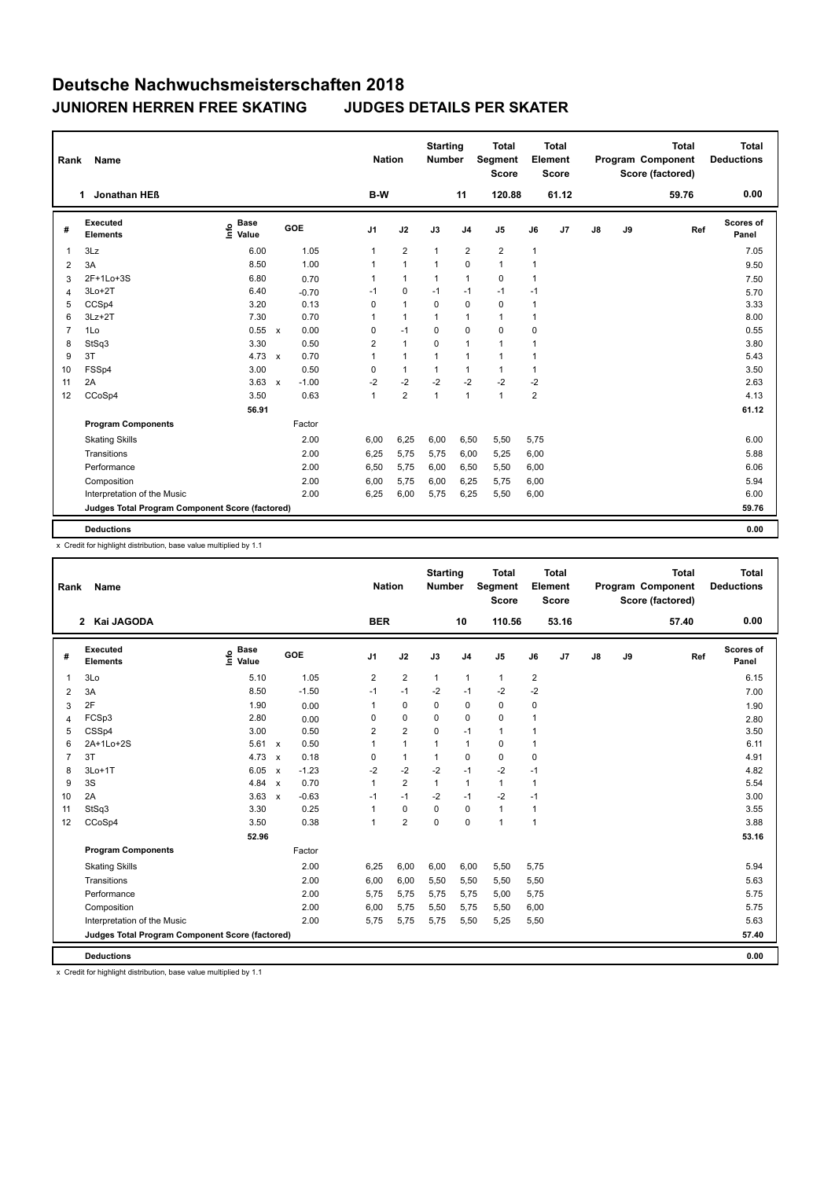| Rank           | Name                                            |                              |              |            | <b>Nation</b>  |                | <b>Starting</b><br>Number |                | <b>Total</b><br><b>Segment</b><br><b>Score</b> |                | <b>Total</b><br>Element<br>Score |               |    | <b>Total</b><br>Program Component<br>Score (factored) | Total<br><b>Deductions</b> |
|----------------|-------------------------------------------------|------------------------------|--------------|------------|----------------|----------------|---------------------------|----------------|------------------------------------------------|----------------|----------------------------------|---------------|----|-------------------------------------------------------|----------------------------|
|                | Jonathan HEB<br>1                               |                              |              |            | B-W            |                |                           | 11             | 120.88                                         |                | 61.12                            |               |    | 59.76                                                 | 0.00                       |
| #              | Executed<br><b>Elements</b>                     | <b>Base</b><br>١nfo<br>Value |              | <b>GOE</b> | J <sub>1</sub> | J2             | J3                        | J <sub>4</sub> | J <sub>5</sub>                                 | J6             | J <sub>7</sub>                   | $\mathsf{J}8$ | J9 | Ref                                                   | <b>Scores of</b><br>Panel  |
| $\mathbf{1}$   | 3Lz                                             | 6.00                         |              | 1.05       | $\mathbf{1}$   | $\overline{2}$ | $\mathbf{1}$              | 2              | $\overline{2}$                                 | 1              |                                  |               |    |                                                       | 7.05                       |
| 2              | 3A                                              | 8.50                         |              | 1.00       | 1              | $\mathbf{1}$   | $\mathbf{1}$              | $\mathbf 0$    | $\mathbf{1}$                                   | 1              |                                  |               |    |                                                       | 9.50                       |
| 3              | 2F+1Lo+3S                                       | 6.80                         |              | 0.70       | 1              | $\mathbf{1}$   | 1                         | $\mathbf{1}$   | $\mathbf 0$                                    | 1              |                                  |               |    |                                                       | 7.50                       |
| $\overline{4}$ | $3Lo+2T$                                        | 6.40                         |              | $-0.70$    | $-1$           | $\mathbf 0$    | $-1$                      | $-1$           | $-1$                                           | $-1$           |                                  |               |    |                                                       | 5.70                       |
| 5              | CCSp4                                           | 3.20                         |              | 0.13       | 0              | $\mathbf{1}$   | $\mathbf 0$               | $\mathbf 0$    | $\mathbf 0$                                    | 1              |                                  |               |    |                                                       | 3.33                       |
| 6              | $3Lz + 2T$                                      | 7.30                         |              | 0.70       | $\mathbf{1}$   | $\mathbf{1}$   | $\mathbf{1}$              | $\mathbf{1}$   | $\mathbf{1}$                                   | 1              |                                  |               |    |                                                       | 8.00                       |
| $\overline{7}$ | 1Lo                                             | 0.55                         | $\mathbf{x}$ | 0.00       | 0              | $-1$           | 0                         | $\mathbf 0$    | $\Omega$                                       | 0              |                                  |               |    |                                                       | 0.55                       |
| 8              | StSq3                                           | 3.30                         |              | 0.50       | $\overline{2}$ | $\mathbf{1}$   | $\mathbf 0$               | $\mathbf{1}$   | $\mathbf{1}$                                   | 1              |                                  |               |    |                                                       | 3.80                       |
| 9              | 3T                                              | 4.73                         | $\mathsf{x}$ | 0.70       | 1              | $\mathbf{1}$   | $\mathbf{1}$              | $\mathbf{1}$   | $\mathbf{1}$                                   | 1              |                                  |               |    |                                                       | 5.43                       |
| 10             | FSSp4                                           | 3.00                         |              | 0.50       | 0              | $\mathbf{1}$   | $\mathbf{1}$              | $\mathbf{1}$   | $\mathbf{1}$                                   | 1              |                                  |               |    |                                                       | 3.50                       |
| 11             | 2A                                              | 3.63                         | $\mathsf{x}$ | $-1.00$    | $-2$           | $-2$           | $-2$                      | $-2$           | $-2$                                           | $-2$           |                                  |               |    |                                                       | 2.63                       |
| 12             | CCoSp4                                          | 3.50                         |              | 0.63       | $\mathbf{1}$   | $\overline{2}$ | $\mathbf{1}$              | $\mathbf{1}$   | $\mathbf{1}$                                   | $\overline{2}$ |                                  |               |    |                                                       | 4.13                       |
|                |                                                 | 56.91                        |              |            |                |                |                           |                |                                                |                |                                  |               |    |                                                       | 61.12                      |
|                | <b>Program Components</b>                       |                              |              | Factor     |                |                |                           |                |                                                |                |                                  |               |    |                                                       |                            |
|                | <b>Skating Skills</b>                           |                              |              | 2.00       | 6,00           | 6,25           | 6,00                      | 6,50           | 5,50                                           | 5,75           |                                  |               |    |                                                       | 6.00                       |
|                | Transitions                                     |                              |              | 2.00       | 6,25           | 5,75           | 5,75                      | 6,00           | 5,25                                           | 6,00           |                                  |               |    |                                                       | 5.88                       |
|                | Performance                                     |                              |              | 2.00       | 6,50           | 5,75           | 6,00                      | 6,50           | 5,50                                           | 6,00           |                                  |               |    |                                                       | 6.06                       |
|                | Composition                                     |                              |              | 2.00       | 6,00           | 5,75           | 6,00                      | 6,25           | 5,75                                           | 6,00           |                                  |               |    |                                                       | 5.94                       |
|                | Interpretation of the Music                     |                              |              | 2.00       | 6,25           | 6,00           | 5,75                      | 6,25           | 5,50                                           | 6,00           |                                  |               |    |                                                       | 6.00                       |
|                | Judges Total Program Component Score (factored) |                              |              |            |                |                |                           |                |                                                |                |                                  |               |    |                                                       | 59.76                      |
|                |                                                 |                              |              |            |                |                |                           |                |                                                |                |                                  |               |    |                                                       |                            |
|                | <b>Deductions</b>                               |                              |              |            |                |                |                           |                |                                                |                |                                  |               |    |                                                       | 0.00                       |

x Credit for highlight distribution, base value multiplied by 1.1

| Rank           | <b>Name</b>                                     |                              |                                   |                | <b>Nation</b>  | <b>Starting</b><br><b>Number</b> |                | <b>Total</b><br>Segment<br><b>Score</b> |                | <b>Total</b><br>Element<br><b>Score</b> |    |    | <b>Total</b><br>Program Component<br>Score (factored) | <b>Total</b><br><b>Deductions</b> |
|----------------|-------------------------------------------------|------------------------------|-----------------------------------|----------------|----------------|----------------------------------|----------------|-----------------------------------------|----------------|-----------------------------------------|----|----|-------------------------------------------------------|-----------------------------------|
|                | 2 Kai JAGODA                                    |                              |                                   | <b>BER</b>     |                |                                  | 10             | 110.56                                  |                | 53.16                                   |    |    | 57.40                                                 | 0.00                              |
| #              | Executed<br><b>Elements</b>                     | <b>Base</b><br>lnfo<br>Value | GOE                               | J <sub>1</sub> | J2             | J3                               | J <sub>4</sub> | J <sub>5</sub>                          | J6             | J7                                      | J8 | J9 | Ref                                                   | <b>Scores of</b><br>Panel         |
| 1              | 3Lo                                             | 5.10                         | 1.05                              | $\overline{2}$ | $\overline{2}$ | $\mathbf{1}$                     | $\overline{1}$ | $\mathbf{1}$                            | $\overline{2}$ |                                         |    |    |                                                       | 6.15                              |
| 2              | 3A                                              | 8.50                         | $-1.50$                           | $-1$           | $-1$           | $-2$                             | $-1$           | $-2$                                    | $-2$           |                                         |    |    |                                                       | 7.00                              |
| 3              | 2F                                              | 1.90                         | 0.00                              | 1              | $\mathbf 0$    | $\mathbf 0$                      | $\mathbf 0$    | $\mathbf 0$                             | 0              |                                         |    |    |                                                       | 1.90                              |
| 4              | FCSp3                                           | 2.80                         | 0.00                              | 0              | $\mathbf 0$    | $\mathbf 0$                      | $\mathbf 0$    | $\mathbf 0$                             | $\overline{1}$ |                                         |    |    |                                                       | 2.80                              |
| 5              | CSSp4                                           | 3.00                         | 0.50                              | $\overline{2}$ | $\overline{2}$ | $\Omega$                         | $-1$           | $\mathbf{1}$                            | $\mathbf{1}$   |                                         |    |    |                                                       | 3.50                              |
| 6              | 2A+1Lo+2S                                       | $5.61 \times$                | 0.50                              | 1              | $\mathbf{1}$   | 1                                | $\overline{1}$ | $\mathbf 0$                             | 1              |                                         |    |    |                                                       | 6.11                              |
| $\overline{7}$ | 3T                                              | 4.73                         | 0.18<br>$\boldsymbol{\mathsf{x}}$ | 0              | $\mathbf{1}$   | $\mathbf{1}$                     | $\mathbf 0$    | $\mathbf 0$                             | $\mathbf 0$    |                                         |    |    |                                                       | 4.91                              |
| 8              | 3Lo+1T                                          | 6.05                         | $-1.23$<br>$\mathbf{x}$           | $-2$           | $-2$           | $-2$                             | $-1$           | $-2$                                    | -1             |                                         |    |    |                                                       | 4.82                              |
| 9              | 3S                                              | 4.84                         | 0.70<br>$\boldsymbol{\mathsf{x}}$ | 1              | $\overline{2}$ | $\mathbf{1}$                     | $\overline{1}$ | $\mathbf{1}$                            | 1              |                                         |    |    |                                                       | 5.54                              |
| 10             | 2A                                              | 3.63                         | $-0.63$<br>$\mathbf{x}$           | $-1$           | $-1$           | $-2$                             | $-1$           | $-2$                                    | $-1$           |                                         |    |    |                                                       | 3.00                              |
| 11             | StSq3                                           | 3.30                         | 0.25                              | 1              | $\mathbf 0$    | 0                                | $\mathbf 0$    | $\mathbf{1}$                            | 1              |                                         |    |    |                                                       | 3.55                              |
| 12             | CCoSp4                                          | 3.50                         | 0.38                              | 1              | $\overline{2}$ | 0                                | $\mathbf 0$    | $\mathbf{1}$                            | $\mathbf{1}$   |                                         |    |    |                                                       | 3.88                              |
|                |                                                 | 52.96                        |                                   |                |                |                                  |                |                                         |                |                                         |    |    |                                                       | 53.16                             |
|                | <b>Program Components</b>                       |                              | Factor                            |                |                |                                  |                |                                         |                |                                         |    |    |                                                       |                                   |
|                | <b>Skating Skills</b>                           |                              | 2.00                              | 6,25           | 6,00           | 6,00                             | 6,00           | 5,50                                    | 5,75           |                                         |    |    |                                                       | 5.94                              |
|                | Transitions                                     |                              | 2.00                              | 6,00           | 6,00           | 5,50                             | 5,50           | 5,50                                    | 5,50           |                                         |    |    |                                                       | 5.63                              |
|                | Performance                                     |                              | 2.00                              | 5.75           | 5,75           | 5,75                             | 5,75           | 5,00                                    | 5,75           |                                         |    |    |                                                       | 5.75                              |
|                | Composition                                     |                              | 2.00                              | 6,00           | 5,75           | 5,50                             | 5,75           | 5,50                                    | 6,00           |                                         |    |    |                                                       | 5.75                              |
|                | Interpretation of the Music                     |                              | 2.00                              | 5,75           | 5,75           | 5,75                             | 5,50           | 5,25                                    | 5,50           |                                         |    |    |                                                       | 5.63                              |
|                | Judges Total Program Component Score (factored) |                              |                                   |                |                |                                  |                |                                         |                |                                         |    |    |                                                       | 57.40                             |
|                | <b>Deductions</b>                               |                              |                                   |                |                |                                  |                |                                         |                |                                         |    |    |                                                       | 0.00                              |

x Credit for highlight distribution, base value multiplied by 1.1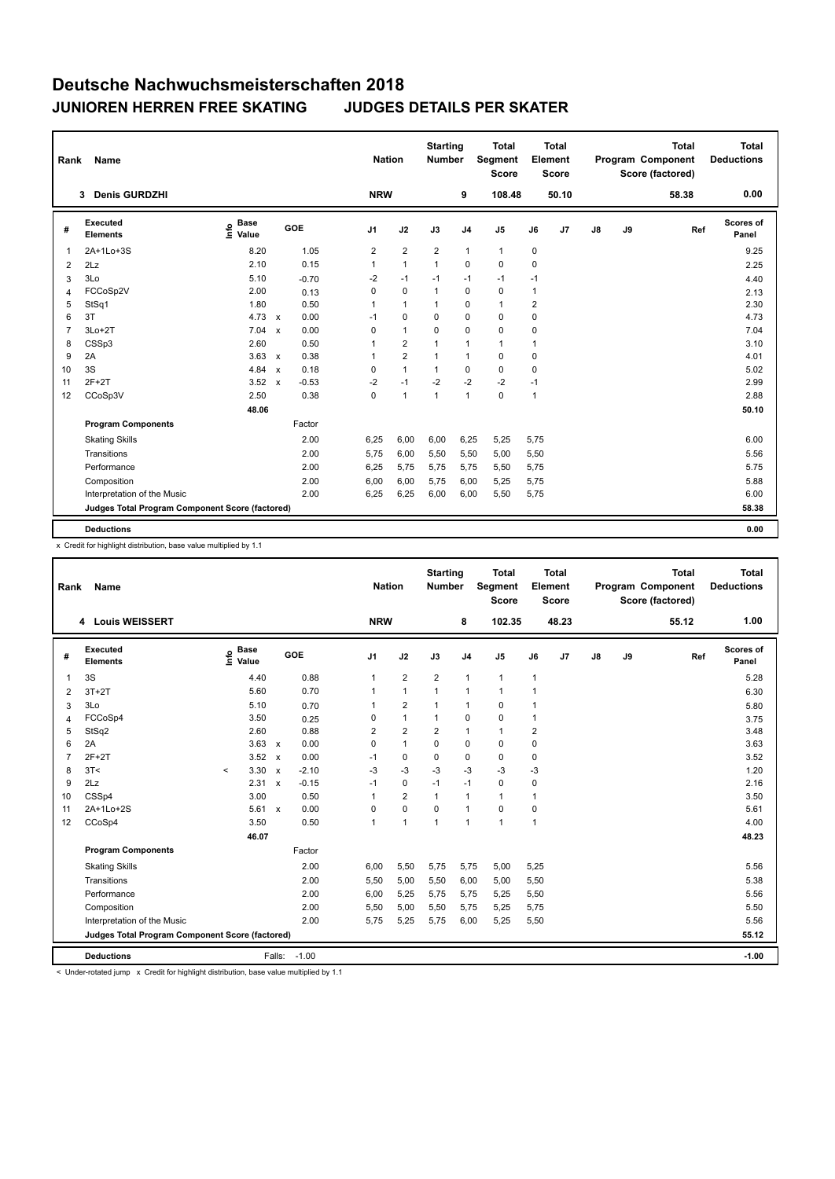| Rank           | <b>Name</b>                                     |                              |                           |         | <b>Nation</b>  |                | <b>Starting</b><br>Number |                | <b>Total</b><br><b>Segment</b><br><b>Score</b> |                | <b>Total</b><br>Element<br>Score |               |    | <b>Total</b><br>Program Component<br>Score (factored) | <b>Total</b><br><b>Deductions</b> |
|----------------|-------------------------------------------------|------------------------------|---------------------------|---------|----------------|----------------|---------------------------|----------------|------------------------------------------------|----------------|----------------------------------|---------------|----|-------------------------------------------------------|-----------------------------------|
|                | <b>Denis GURDZHI</b><br>3                       |                              |                           |         | <b>NRW</b>     |                |                           | 9              | 108.48                                         |                | 50.10                            |               |    | 58.38                                                 | 0.00                              |
| #              | Executed<br><b>Elements</b>                     | <b>Base</b><br>Info<br>Value |                           | GOE     | J <sub>1</sub> | J2             | J3                        | J <sub>4</sub> | J5                                             | J6             | J7                               | $\mathsf{J}8$ | J9 | Ref                                                   | Scores of<br>Panel                |
| $\mathbf{1}$   | 2A+1Lo+3S                                       | 8.20                         |                           | 1.05    | $\overline{2}$ | $\overline{2}$ | $\overline{2}$            | $\mathbf{1}$   | $\mathbf{1}$                                   | 0              |                                  |               |    |                                                       | 9.25                              |
| 2              | 2Lz                                             | 2.10                         |                           | 0.15    | $\mathbf{1}$   | $\mathbf{1}$   | $\mathbf{1}$              | 0              | 0                                              | 0              |                                  |               |    |                                                       | 2.25                              |
| 3              | 3Lo                                             | 5.10                         |                           | $-0.70$ | $-2$           | $-1$           | $-1$                      | $-1$           | $-1$                                           | $-1$           |                                  |               |    |                                                       | 4.40                              |
| 4              | FCCoSp2V                                        | 2.00                         |                           | 0.13    | 0              | $\mathbf 0$    | $\mathbf{1}$              | $\mathbf 0$    | $\mathbf 0$                                    | 1              |                                  |               |    |                                                       | 2.13                              |
| 5              | StSq1                                           | 1.80                         |                           | 0.50    | $\mathbf{1}$   | $\mathbf{1}$   | $\mathbf{1}$              | $\mathbf 0$    | $\mathbf{1}$                                   | $\overline{2}$ |                                  |               |    |                                                       | 2.30                              |
| 6              | 3T                                              | 4.73                         | $\mathsf{x}$              | 0.00    | $-1$           | 0              | 0                         | $\mathbf 0$    | 0                                              | 0              |                                  |               |    |                                                       | 4.73                              |
| $\overline{7}$ | $3Lo+2T$                                        | 7.04                         | $\mathsf{x}$              | 0.00    | 0              | $\mathbf{1}$   | $\mathbf 0$               | $\mathbf 0$    | $\mathbf 0$                                    | 0              |                                  |               |    |                                                       | 7.04                              |
| 8              | CSSp3                                           | 2.60                         |                           | 0.50    | 1              | $\overline{2}$ | 1                         | $\mathbf{1}$   | $\mathbf{1}$                                   | 1              |                                  |               |    |                                                       | 3.10                              |
| 9              | 2A                                              | 3.63                         | $\mathsf{x}$              | 0.38    | 1              | $\overline{2}$ | 1                         | $\mathbf{1}$   | $\mathbf 0$                                    | 0              |                                  |               |    |                                                       | 4.01                              |
| 10             | 3S                                              | 4.84                         | $\boldsymbol{\mathsf{x}}$ | 0.18    | $\Omega$       | $\mathbf{1}$   | $\mathbf{1}$              | $\mathbf 0$    | $\Omega$                                       | 0              |                                  |               |    |                                                       | 5.02                              |
| 11             | $2F+2T$                                         | 3.52                         | $\mathsf{x}$              | $-0.53$ | $-2$           | $-1$           | $-2$                      | $-2$           | $-2$                                           | $-1$           |                                  |               |    |                                                       | 2.99                              |
| 12             | CCoSp3V                                         | 2.50                         |                           | 0.38    | $\Omega$       | $\mathbf{1}$   | $\mathbf{1}$              | $\mathbf{1}$   | $\mathbf 0$                                    | $\mathbf{1}$   |                                  |               |    |                                                       | 2.88                              |
|                |                                                 | 48.06                        |                           |         |                |                |                           |                |                                                |                |                                  |               |    |                                                       | 50.10                             |
|                | <b>Program Components</b>                       |                              |                           | Factor  |                |                |                           |                |                                                |                |                                  |               |    |                                                       |                                   |
|                | <b>Skating Skills</b>                           |                              |                           | 2.00    | 6.25           | 6,00           | 6,00                      | 6,25           | 5,25                                           | 5,75           |                                  |               |    |                                                       | 6.00                              |
|                | Transitions                                     |                              |                           | 2.00    | 5,75           | 6,00           | 5,50                      | 5,50           | 5,00                                           | 5,50           |                                  |               |    |                                                       | 5.56                              |
|                | Performance                                     |                              |                           | 2.00    | 6,25           | 5,75           | 5,75                      | 5,75           | 5,50                                           | 5,75           |                                  |               |    |                                                       | 5.75                              |
|                | Composition                                     |                              |                           | 2.00    | 6,00           | 6,00           | 5,75                      | 6,00           | 5,25                                           | 5,75           |                                  |               |    |                                                       | 5.88                              |
|                | Interpretation of the Music                     |                              |                           | 2.00    | 6,25           | 6,25           | 6,00                      | 6,00           | 5,50                                           | 5,75           |                                  |               |    |                                                       | 6.00                              |
|                | Judges Total Program Component Score (factored) |                              |                           |         |                |                |                           |                |                                                |                |                                  |               |    |                                                       | 58.38                             |
|                |                                                 |                              |                           |         |                |                |                           |                |                                                |                |                                  |               |    |                                                       |                                   |
|                | <b>Deductions</b>                               |                              |                           |         |                |                |                           |                |                                                |                |                                  |               |    |                                                       | 0.00                              |

x Credit for highlight distribution, base value multiplied by 1.1

| Rank           | Name                                            |                            |                           |         | <b>Nation</b>  |                | <b>Starting</b><br><b>Number</b> |                | <b>Total</b><br>Segment<br><b>Score</b> |                | <b>Total</b><br>Element<br><b>Score</b> |               |    | <b>Total</b><br>Program Component<br>Score (factored) | <b>Total</b><br><b>Deductions</b> |
|----------------|-------------------------------------------------|----------------------------|---------------------------|---------|----------------|----------------|----------------------------------|----------------|-----------------------------------------|----------------|-----------------------------------------|---------------|----|-------------------------------------------------------|-----------------------------------|
|                | 4 Louis WEISSERT                                |                            |                           |         | <b>NRW</b>     |                |                                  | 8              | 102.35                                  |                | 48.23                                   |               |    | 55.12                                                 | 1.00                              |
| #              | Executed<br><b>Elements</b>                     | <b>Base</b><br>۴ê<br>Value | GOE                       |         | J <sub>1</sub> | J2             | J3                               | J <sub>4</sub> | J <sub>5</sub>                          | J6             | J7                                      | $\mathsf{J}8$ | J9 | Ref                                                   | <b>Scores of</b><br>Panel         |
| 1              | 3S                                              | 4.40                       |                           | 0.88    | 1              | $\overline{2}$ | $\overline{2}$                   | $\overline{1}$ | $\mathbf{1}$                            | $\mathbf{1}$   |                                         |               |    |                                                       | 5.28                              |
| 2              | $3T+2T$                                         | 5.60                       |                           | 0.70    | 1              | $\mathbf{1}$   | $\overline{1}$                   | $\overline{1}$ | $\mathbf{1}$                            | $\overline{1}$ |                                         |               |    |                                                       | 6.30                              |
| 3              | 3Lo                                             | 5.10                       |                           | 0.70    | 1              | $\overline{2}$ | $\mathbf{1}$                     | $\overline{1}$ | $\mathbf 0$                             | 1              |                                         |               |    |                                                       | 5.80                              |
| 4              | FCCoSp4                                         | 3.50                       |                           | 0.25    | 0              | $\mathbf{1}$   | 1                                | $\mathbf 0$    | $\mathbf 0$                             | $\mathbf{1}$   |                                         |               |    |                                                       | 3.75                              |
| 5              | StSq2                                           | 2.60                       |                           | 0.88    | $\overline{2}$ | $\overline{2}$ | $\overline{2}$                   | $\overline{1}$ | $\mathbf{1}$                            | $\overline{2}$ |                                         |               |    |                                                       | 3.48                              |
| 6              | 2A                                              | 3.63                       | $\mathsf{x}$              | 0.00    | 0              | $\mathbf{1}$   | 0                                | $\mathbf 0$    | $\mathbf 0$                             | $\mathbf 0$    |                                         |               |    |                                                       | 3.63                              |
| $\overline{7}$ | $2F+2T$                                         | 3.52                       | $\boldsymbol{\mathsf{x}}$ | 0.00    | $-1$           | 0              | 0                                | 0              | 0                                       | $\mathbf 0$    |                                         |               |    |                                                       | 3.52                              |
| 8              | 3T<                                             | 3.30<br>$\prec$            | $\boldsymbol{\mathsf{x}}$ | $-2.10$ | $-3$           | $-3$           | $-3$                             | $-3$           | $-3$                                    | $-3$           |                                         |               |    |                                                       | 1.20                              |
| 9              | 2Lz                                             | 2.31                       | $\boldsymbol{\mathsf{x}}$ | $-0.15$ | $-1$           | $\mathbf 0$    | $-1$                             | $-1$           | $\mathbf 0$                             | 0              |                                         |               |    |                                                       | 2.16                              |
| 10             | CSSp4                                           | 3.00                       |                           | 0.50    | $\mathbf 1$    | $\overline{2}$ | 1                                | $\overline{1}$ | $\mathbf{1}$                            | 1              |                                         |               |    |                                                       | 3.50                              |
| 11             | 2A+1Lo+2S                                       | 5.61                       | $\mathsf{x}$              | 0.00    | 0              | $\mathbf 0$    | 0                                | $\overline{1}$ | $\mathbf 0$                             | 0              |                                         |               |    |                                                       | 5.61                              |
| 12             | CCoSp4                                          | 3.50                       |                           | 0.50    | 1              | $\mathbf{1}$   | $\overline{1}$                   | $\overline{1}$ | $\overline{1}$                          | $\overline{1}$ |                                         |               |    |                                                       | 4.00                              |
|                |                                                 | 46.07                      |                           |         |                |                |                                  |                |                                         |                |                                         |               |    |                                                       | 48.23                             |
|                | <b>Program Components</b>                       |                            |                           | Factor  |                |                |                                  |                |                                         |                |                                         |               |    |                                                       |                                   |
|                | <b>Skating Skills</b>                           |                            |                           | 2.00    | 6,00           | 5,50           | 5,75                             | 5,75           | 5,00                                    | 5,25           |                                         |               |    |                                                       | 5.56                              |
|                | Transitions                                     |                            |                           | 2.00    | 5,50           | 5,00           | 5,50                             | 6,00           | 5,00                                    | 5,50           |                                         |               |    |                                                       | 5.38                              |
|                | Performance                                     |                            |                           | 2.00    | 6,00           | 5,25           | 5,75                             | 5,75           | 5,25                                    | 5,50           |                                         |               |    |                                                       | 5.56                              |
|                | Composition                                     |                            |                           | 2.00    | 5,50           | 5,00           | 5,50                             | 5,75           | 5,25                                    | 5,75           |                                         |               |    |                                                       | 5.50                              |
|                | Interpretation of the Music                     |                            |                           | 2.00    | 5,75           | 5,25           | 5,75                             | 6,00           | 5,25                                    | 5,50           |                                         |               |    |                                                       | 5.56                              |
|                | Judges Total Program Component Score (factored) |                            |                           |         |                |                |                                  |                |                                         |                |                                         |               |    |                                                       | 55.12                             |
|                | <b>Deductions</b>                               |                            | Falls:                    | $-1.00$ |                |                |                                  |                |                                         |                |                                         |               |    |                                                       | $-1.00$                           |

< Under-rotated jump x Credit for highlight distribution, base value multiplied by 1.1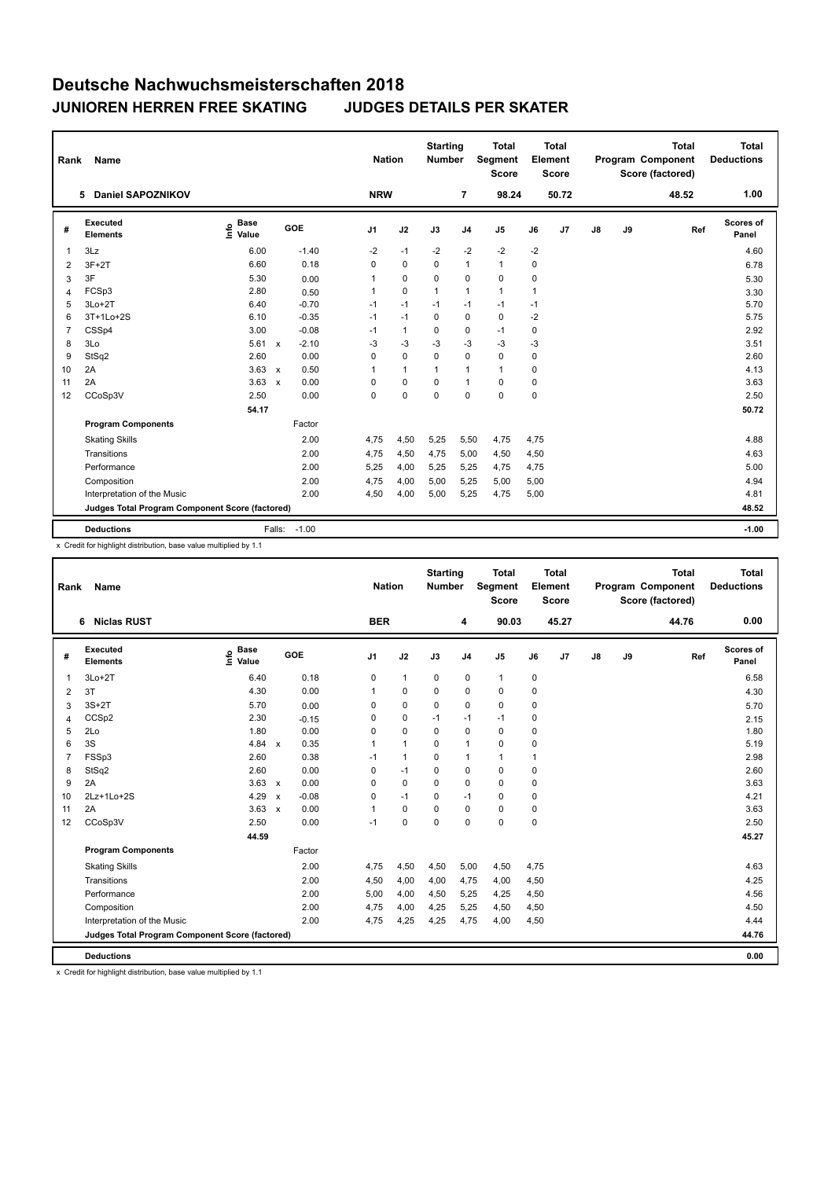| Rank           | Name                                            |                              |                                   | <b>Nation</b>  |              | <b>Starting</b><br><b>Number</b> |                | <b>Total</b><br>Segment<br><b>Score</b> |      | <b>Total</b><br>Element<br><b>Score</b> |               |    | <b>Total</b><br>Program Component<br>Score (factored) | Total<br><b>Deductions</b> |
|----------------|-------------------------------------------------|------------------------------|-----------------------------------|----------------|--------------|----------------------------------|----------------|-----------------------------------------|------|-----------------------------------------|---------------|----|-------------------------------------------------------|----------------------------|
|                | 5 Daniel SAPOZNIKOV                             |                              |                                   | <b>NRW</b>     |              |                                  | 7              | 98.24                                   |      | 50.72                                   |               |    | 48.52                                                 | 1.00                       |
| #              | Executed<br><b>Elements</b>                     | <b>Base</b><br>lnfo<br>Value | GOE                               | J <sub>1</sub> | J2           | J3                               | J <sub>4</sub> | J <sub>5</sub>                          | J6   | J7                                      | $\mathsf{J}8$ | J9 | Ref                                                   | Scores of<br>Panel         |
| 1              | 3Lz                                             | 6.00                         | $-1.40$                           | $-2$           | $-1$         | $-2$                             | $-2$           | $-2$                                    | $-2$ |                                         |               |    |                                                       | 4.60                       |
| 2              | $3F+2T$                                         | 6.60                         | 0.18                              | 0              | $\mathbf 0$  | $\mathbf 0$                      | $\mathbf{1}$   | $\mathbf{1}$                            | 0    |                                         |               |    |                                                       | 6.78                       |
| 3              | 3F                                              | 5.30                         | 0.00                              | 1              | 0            | 0                                | 0              | 0                                       | 0    |                                         |               |    |                                                       | 5.30                       |
| 4              | FCSp3                                           | 2.80                         | 0.50                              | 1              | $\mathbf 0$  | $\mathbf{1}$                     | $\mathbf{1}$   | $\mathbf{1}$                            | 1    |                                         |               |    |                                                       | 3.30                       |
| 5              | $3Lo+2T$                                        | 6.40                         | $-0.70$                           | $-1$           | $-1$         | $-1$                             | $-1$           | $-1$                                    | $-1$ |                                         |               |    |                                                       | 5.70                       |
| 6              | 3T+1Lo+2S                                       | 6.10                         | $-0.35$                           | $-1$           | $-1$         | $\Omega$                         | 0              | $\mathbf 0$                             | -2   |                                         |               |    |                                                       | 5.75                       |
| $\overline{7}$ | CSSp4                                           | 3.00                         | $-0.08$                           | $-1$           | $\mathbf{1}$ | $\Omega$                         | 0              | $-1$                                    | 0    |                                         |               |    |                                                       | 2.92                       |
| 8              | 3Lo                                             | 5.61                         | $-2.10$<br>$\mathbf{x}$           | -3             | $-3$         | $-3$                             | -3             | $-3$                                    | -3   |                                         |               |    |                                                       | 3.51                       |
| 9              | StSq2                                           | 2.60                         | 0.00                              | 0              | $\mathbf 0$  | $\mathbf 0$                      | $\pmb{0}$      | 0                                       | 0    |                                         |               |    |                                                       | 2.60                       |
| 10             | 2A                                              | 3.63                         | 0.50<br>$\boldsymbol{\mathsf{x}}$ | 1              | $\mathbf{1}$ | $\mathbf{1}$                     | $\mathbf{1}$   | $\mathbf{1}$                            | 0    |                                         |               |    |                                                       | 4.13                       |
| 11             | 2A                                              | 3.63                         | 0.00<br>$\boldsymbol{\mathsf{x}}$ | 0              | $\mathbf 0$  | $\Omega$                         | $\mathbf{1}$   | $\mathbf 0$                             | 0    |                                         |               |    |                                                       | 3.63                       |
| 12             | CCoSp3V                                         | 2.50                         | 0.00                              | 0              | $\mathbf 0$  | $\Omega$                         | $\mathbf 0$    | $\mathbf 0$                             | 0    |                                         |               |    |                                                       | 2.50                       |
|                |                                                 | 54.17                        |                                   |                |              |                                  |                |                                         |      |                                         |               |    |                                                       | 50.72                      |
|                | <b>Program Components</b>                       |                              | Factor                            |                |              |                                  |                |                                         |      |                                         |               |    |                                                       |                            |
|                | <b>Skating Skills</b>                           |                              | 2.00                              | 4,75           | 4,50         | 5,25                             | 5,50           | 4,75                                    | 4,75 |                                         |               |    |                                                       | 4.88                       |
|                | Transitions                                     |                              | 2.00                              | 4,75           | 4,50         | 4,75                             | 5,00           | 4,50                                    | 4,50 |                                         |               |    |                                                       | 4.63                       |
|                | Performance                                     |                              | 2.00                              | 5,25           | 4,00         | 5,25                             | 5,25           | 4,75                                    | 4,75 |                                         |               |    |                                                       | 5.00                       |
|                | Composition                                     |                              | 2.00                              | 4.75           | 4,00         | 5,00                             | 5,25           | 5,00                                    | 5,00 |                                         |               |    |                                                       | 4.94                       |
|                | Interpretation of the Music                     |                              | 2.00                              | 4,50           | 4,00         | 5,00                             | 5,25           | 4,75                                    | 5,00 |                                         |               |    |                                                       | 4.81                       |
|                | Judges Total Program Component Score (factored) |                              |                                   |                |              |                                  |                |                                         |      |                                         |               |    |                                                       | 48.52                      |
|                | <b>Deductions</b>                               |                              | $-1.00$<br>Falls:                 |                |              |                                  |                |                                         |      |                                         |               |    |                                                       | $-1.00$                    |

x Credit for highlight distribution, base value multiplied by 1.1

| Rank           | Name                                            |                           |              |         | <b>Nation</b>  |                | <b>Starting</b><br><b>Number</b> |                | <b>Total</b><br>Segment<br><b>Score</b> |             | <b>Total</b><br>Element<br><b>Score</b> |    |    | <b>Total</b><br>Program Component<br>Score (factored) | <b>Total</b><br><b>Deductions</b> |
|----------------|-------------------------------------------------|---------------------------|--------------|---------|----------------|----------------|----------------------------------|----------------|-----------------------------------------|-------------|-----------------------------------------|----|----|-------------------------------------------------------|-----------------------------------|
|                | <b>Niclas RUST</b><br>6                         |                           |              |         | <b>BER</b>     |                |                                  | 4              | 90.03                                   |             | 45.27                                   |    |    | 44.76                                                 | 0.00                              |
| #              | Executed<br><b>Elements</b>                     | Base<br>e Base<br>E Value |              | GOE     | J <sub>1</sub> | J2             | J3                               | J <sub>4</sub> | J <sub>5</sub>                          | J6          | J7                                      | J8 | J9 | Ref                                                   | <b>Scores of</b><br>Panel         |
| -1             | $3Lo+2T$                                        | 6.40                      |              | 0.18    | 0              | $\mathbf{1}$   | 0                                | 0              | $\mathbf{1}$                            | 0           |                                         |    |    |                                                       | 6.58                              |
| 2              | 3T                                              | 4.30                      |              | 0.00    | 1              | 0              | 0                                | $\pmb{0}$      | $\pmb{0}$                               | 0           |                                         |    |    |                                                       | 4.30                              |
| 3              | $3S+2T$                                         | 5.70                      |              | 0.00    | 0              | $\mathbf 0$    | 0                                | $\mathbf 0$    | $\mathbf 0$                             | $\mathbf 0$ |                                         |    |    |                                                       | 5.70                              |
| 4              | CCSp2                                           | 2.30                      |              | $-0.15$ | 0              | $\pmb{0}$      | $-1$                             | $-1$           | $-1$                                    | 0           |                                         |    |    |                                                       | 2.15                              |
| 5              | 2Lo                                             | 1.80                      |              | 0.00    | 0              | $\Omega$       | $\Omega$                         | 0              | $\Omega$                                | $\mathbf 0$ |                                         |    |    |                                                       | 1.80                              |
| 6              | 3S                                              | 4.84                      | $\mathsf{x}$ | 0.35    | 1              | $\overline{1}$ | $\Omega$                         | $\overline{1}$ | $\mathbf 0$                             | 0           |                                         |    |    |                                                       | 5.19                              |
| $\overline{7}$ | FSSp3                                           | 2.60                      |              | 0.38    | $-1$           | $\overline{1}$ | $\Omega$                         | $\overline{1}$ | $\mathbf{1}$                            | 1           |                                         |    |    |                                                       | 2.98                              |
| 8              | StSq2                                           | 2.60                      |              | 0.00    | 0              | $-1$           | 0                                | 0              | 0                                       | 0           |                                         |    |    |                                                       | 2.60                              |
| 9              | 2A                                              | 3.63                      | $\mathsf{x}$ | 0.00    | 0              | $\mathbf 0$    | 0                                | $\mathbf 0$    | $\mathbf 0$                             | $\mathbf 0$ |                                         |    |    |                                                       | 3.63                              |
| 10             | 2Lz+1Lo+2S                                      | 4.29                      | $\mathbf{x}$ | $-0.08$ | 0              | $-1$           | $\mathbf 0$                      | $-1$           | $\mathbf 0$                             | $\mathbf 0$ |                                         |    |    |                                                       | 4.21                              |
| 11             | 2A                                              | 3.63                      | $\mathsf{x}$ | 0.00    | 1              | $\pmb{0}$      | $\mathbf 0$                      | $\mathbf 0$    | $\pmb{0}$                               | $\mathbf 0$ |                                         |    |    |                                                       | 3.63                              |
| 12             | CCoSp3V                                         | 2.50                      |              | 0.00    | $-1$           | $\mathbf 0$    | $\Omega$                         | $\Omega$       | $\mathbf 0$                             | $\mathbf 0$ |                                         |    |    |                                                       | 2.50                              |
|                |                                                 | 44.59                     |              |         |                |                |                                  |                |                                         |             |                                         |    |    |                                                       | 45.27                             |
|                | <b>Program Components</b>                       |                           |              | Factor  |                |                |                                  |                |                                         |             |                                         |    |    |                                                       |                                   |
|                | <b>Skating Skills</b>                           |                           |              | 2.00    | 4,75           | 4,50           | 4,50                             | 5,00           | 4,50                                    | 4,75        |                                         |    |    |                                                       | 4.63                              |
|                | Transitions                                     |                           |              | 2.00    | 4,50           | 4,00           | 4,00                             | 4,75           | 4,00                                    | 4,50        |                                         |    |    |                                                       | 4.25                              |
|                | Performance                                     |                           |              | 2.00    | 5,00           | 4,00           | 4,50                             | 5,25           | 4,25                                    | 4,50        |                                         |    |    |                                                       | 4.56                              |
|                | Composition                                     |                           |              | 2.00    | 4,75           | 4,00           | 4,25                             | 5,25           | 4,50                                    | 4,50        |                                         |    |    |                                                       | 4.50                              |
|                | Interpretation of the Music                     |                           |              | 2.00    | 4,75           | 4,25           | 4,25                             | 4,75           | 4,00                                    | 4,50        |                                         |    |    |                                                       | 4.44                              |
|                | Judges Total Program Component Score (factored) |                           |              |         |                |                |                                  |                |                                         |             |                                         |    |    |                                                       | 44.76                             |
|                | <b>Deductions</b>                               |                           |              |         |                |                |                                  |                |                                         |             |                                         |    |    |                                                       | 0.00                              |

x Credit for highlight distribution, base value multiplied by 1.1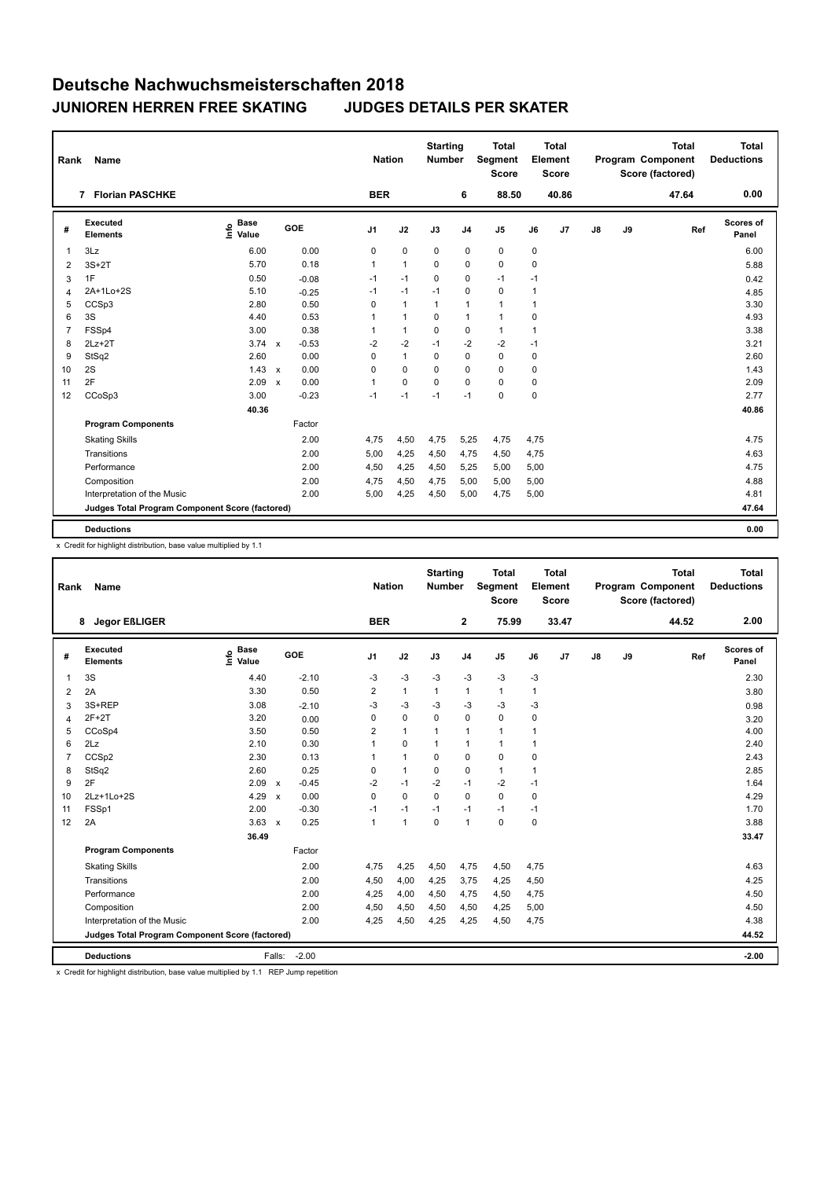|                                                                                                                                                                                            | 0.00               |
|--------------------------------------------------------------------------------------------------------------------------------------------------------------------------------------------|--------------------|
| <b>BER</b><br>6<br>88.50<br>40.86<br><b>Florian PASCHKE</b><br>47.64<br>7                                                                                                                  |                    |
| Executed<br><b>Base</b><br>Info<br><b>GOE</b><br>J9<br>J <sub>1</sub><br>J2<br>J3<br>J <sub>4</sub><br>J <sub>5</sub><br>J7<br>$\mathsf{J}8$<br>#<br>Ref<br>J6<br>Value<br><b>Elements</b> | Scores of<br>Panel |
| 3Lz<br>6.00<br>0.00<br>$\mathbf 0$<br>$\mathbf 0$<br>0<br>0<br>0<br>0<br>$\mathbf{1}$                                                                                                      | 6.00               |
| 0.18<br>5.70<br>$\mathbf{1}$<br>$\Omega$<br>0<br>$\Omega$<br>0<br>$\mathbf{1}$<br>$3S+2T$<br>2                                                                                             | 5.88               |
| 1F<br>$\mathbf 0$<br>$-1$<br>0.50<br>$-1$<br>0<br>$-1$<br>$-0.08$<br>$-1$<br>3                                                                                                             | 0.42               |
| $-1$<br>$\mathbf 0$<br>$\mathbf 0$<br>2A+1Lo+2S<br>5.10<br>$-1$<br>$-1$<br>1<br>$-0.25$<br>4                                                                                               | 4.85               |
| CCSp3<br>0.50<br>$\mathbf{1}$<br>5<br>2.80<br>0<br>1<br>$\mathbf{1}$<br>$\mathbf{1}$<br>$\mathbf{1}$                                                                                       | 3.30               |
| 3S<br>0.53<br>4.40<br>$\mathbf{1}$<br>0<br>$\mathbf{1}$<br>6<br>1<br>$\mathbf{1}$<br>0                                                                                                     | 4.93               |
| FSSp4<br>3.00<br>0.38<br>$\mathbf{1}$<br>$\mathbf 0$<br>$\mathbf 0$<br>$\overline{7}$<br>1<br>$\mathbf{1}$<br>1                                                                            | 3.38               |
| $3.74 \times$<br>$-0.53$<br>$-2$<br>$-2$<br>$-2$<br>$-2$<br>$2Lz+2T$<br>$-1$<br>$-1$<br>8                                                                                                  | 3.21               |
| $\mathbf{1}$<br>$\mathbf 0$<br>StSq2<br>2.60<br>0.00<br>$\mathbf 0$<br>$\mathbf 0$<br>9<br>$\mathbf 0$<br>0                                                                                | 2.60               |
| 2S<br>1.43<br>0.00<br>$\Omega$<br>$\mathbf 0$<br>$\Omega$<br>$\mathbf 0$<br>$\Omega$<br>10<br>0<br>$\mathsf{x}$                                                                            | 1.43               |
| 2F<br>2.09<br>0.00<br>$\Omega$<br>$\Omega$<br>$\mathbf 0$<br>$\mathbf 0$<br>11<br>$\mathbf{1}$<br>0<br>$\boldsymbol{\mathsf{x}}$                                                           | 2.09               |
| $\mathbf 0$<br>0<br>CCoSp3<br>3.00<br>$-0.23$<br>$-1$<br>$-1$<br>12<br>$-1$<br>$-1$                                                                                                        | 2.77               |
| 40.36                                                                                                                                                                                      | 40.86              |
| <b>Program Components</b><br>Factor                                                                                                                                                        |                    |
| 2.00<br><b>Skating Skills</b><br>4.75<br>4,50<br>4,75<br>5,25<br>4,75<br>4,75                                                                                                              | 4.75               |
| Transitions<br>2.00<br>5,00<br>4,25<br>4,50<br>4,75<br>4,50<br>4,75                                                                                                                        | 4.63               |
| Performance<br>2.00<br>4,50<br>4,25<br>4,50<br>5,25<br>5,00<br>5,00                                                                                                                        | 4.75               |
| Composition<br>2.00<br>4,75<br>4,50<br>5,00<br>4,75<br>5,00<br>5,00                                                                                                                        | 4.88               |
| 2.00<br>4,25<br>Interpretation of the Music<br>5,00<br>4,50<br>5,00<br>4,75<br>5,00                                                                                                        | 4.81               |
| Judges Total Program Component Score (factored)                                                                                                                                            | 47.64              |
| <b>Deductions</b>                                                                                                                                                                          | 0.00               |

x Credit for highlight distribution, base value multiplied by 1.1

| Rank           | <b>Name</b>                                     |                              |                           |         | <b>Nation</b>  |                | <b>Starting</b><br><b>Number</b> |                | <b>Total</b><br>Segment<br><b>Score</b> |                | <b>Total</b><br>Element<br>Score |    |    | <b>Total</b><br>Program Component<br>Score (factored) | <b>Total</b><br><b>Deductions</b> |
|----------------|-------------------------------------------------|------------------------------|---------------------------|---------|----------------|----------------|----------------------------------|----------------|-----------------------------------------|----------------|----------------------------------|----|----|-------------------------------------------------------|-----------------------------------|
|                | <b>Jegor EßLIGER</b><br>8                       |                              |                           |         | <b>BER</b>     |                |                                  | 2              | 75.99                                   |                | 33.47                            |    |    | 44.52                                                 | 2.00                              |
| #              | Executed<br><b>Elements</b>                     | <b>Base</b><br>lnfo<br>Value |                           | GOE     | J <sub>1</sub> | J2             | J3                               | J <sub>4</sub> | J <sub>5</sub>                          | J6             | J7                               | J8 | J9 | Ref                                                   | <b>Scores of</b><br>Panel         |
| 1              | 3S                                              | 4.40                         |                           | $-2.10$ | $-3$           | $-3$           | $-3$                             | $-3$           | $-3$                                    | -3             |                                  |    |    |                                                       | 2.30                              |
| $\overline{2}$ | 2A                                              | 3.30                         |                           | 0.50    | 2              | $\mathbf{1}$   | $\mathbf{1}$                     | $\mathbf{1}$   | $\mathbf{1}$                            | 1              |                                  |    |    |                                                       | 3.80                              |
| 3              | 3S+REP                                          | 3.08                         |                           | $-2.10$ | $-3$           | $-3$           | $-3$                             | $-3$           | $-3$                                    | $-3$           |                                  |    |    |                                                       | 0.98                              |
| 4              | $2F+2T$                                         | 3.20                         |                           | 0.00    | 0              | $\mathbf 0$    | $\mathbf 0$                      | $\mathbf 0$    | $\mathbf 0$                             | $\mathbf 0$    |                                  |    |    |                                                       | 3.20                              |
| 5              | CCoSp4                                          | 3.50                         |                           | 0.50    | $\overline{2}$ | $\mathbf{1}$   | 1                                | $\mathbf{1}$   | $\mathbf{1}$                            | $\overline{1}$ |                                  |    |    |                                                       | 4.00                              |
| 6              | 2Lz                                             | 2.10                         |                           | 0.30    | 1              | $\mathbf 0$    | 1                                | $\overline{1}$ | $\mathbf{1}$                            | $\mathbf{1}$   |                                  |    |    |                                                       | 2.40                              |
| $\overline{7}$ | CCSp2                                           | 2.30                         |                           | 0.13    | 1              | $\mathbf{1}$   | 0                                | $\mathbf 0$    | $\mathbf 0$                             | $\mathbf 0$    |                                  |    |    |                                                       | 2.43                              |
| 8              | StSq2                                           | 2.60                         |                           | 0.25    | 0              | $\mathbf{1}$   | 0                                | 0              | $\mathbf{1}$                            | 1              |                                  |    |    |                                                       | 2.85                              |
| 9              | 2F                                              | 2.09                         | $\boldsymbol{\mathsf{x}}$ | $-0.45$ | $-2$           | $-1$           | $-2$                             | $-1$           | $-2$                                    | $-1$           |                                  |    |    |                                                       | 1.64                              |
| 10             | 2Lz+1Lo+2S                                      | 4.29                         | $\boldsymbol{\mathsf{x}}$ | 0.00    | $\Omega$       | $\Omega$       | $\Omega$                         | $\Omega$       | $\Omega$                                | $\mathbf 0$    |                                  |    |    |                                                       | 4.29                              |
| 11             | FSSp1                                           | 2.00                         |                           | $-0.30$ | $-1$           | $-1$           | $-1$                             | $-1$           | $-1$                                    | $-1$           |                                  |    |    |                                                       | 1.70                              |
| 12             | 2A                                              | $3.63 \times$                |                           | 0.25    | 1              | $\overline{1}$ | 0                                | $\overline{1}$ | $\mathbf 0$                             | $\mathbf 0$    |                                  |    |    |                                                       | 3.88                              |
|                |                                                 | 36.49                        |                           |         |                |                |                                  |                |                                         |                |                                  |    |    |                                                       | 33.47                             |
|                | <b>Program Components</b>                       |                              |                           | Factor  |                |                |                                  |                |                                         |                |                                  |    |    |                                                       |                                   |
|                | <b>Skating Skills</b>                           |                              |                           | 2.00    | 4,75           | 4,25           | 4,50                             | 4,75           | 4,50                                    | 4,75           |                                  |    |    |                                                       | 4.63                              |
|                | Transitions                                     |                              |                           | 2.00    | 4,50           | 4,00           | 4,25                             | 3,75           | 4,25                                    | 4,50           |                                  |    |    |                                                       | 4.25                              |
|                | Performance                                     |                              |                           | 2.00    | 4,25           | 4,00           | 4,50                             | 4,75           | 4,50                                    | 4,75           |                                  |    |    |                                                       | 4.50                              |
|                | Composition                                     |                              |                           | 2.00    | 4,50           | 4,50           | 4,50                             | 4,50           | 4,25                                    | 5,00           |                                  |    |    |                                                       | 4.50                              |
|                | Interpretation of the Music                     |                              |                           | 2.00    | 4,25           | 4,50           | 4,25                             | 4,25           | 4,50                                    | 4,75           |                                  |    |    |                                                       | 4.38                              |
|                | Judges Total Program Component Score (factored) |                              |                           |         |                |                |                                  |                |                                         |                |                                  |    |    |                                                       | 44.52                             |
|                | <b>Deductions</b>                               |                              | Falls:                    | $-2.00$ |                |                |                                  |                |                                         |                |                                  |    |    |                                                       | $-2.00$                           |

x Credit for highlight distribution, base value multiplied by 1.1 REP Jump repetition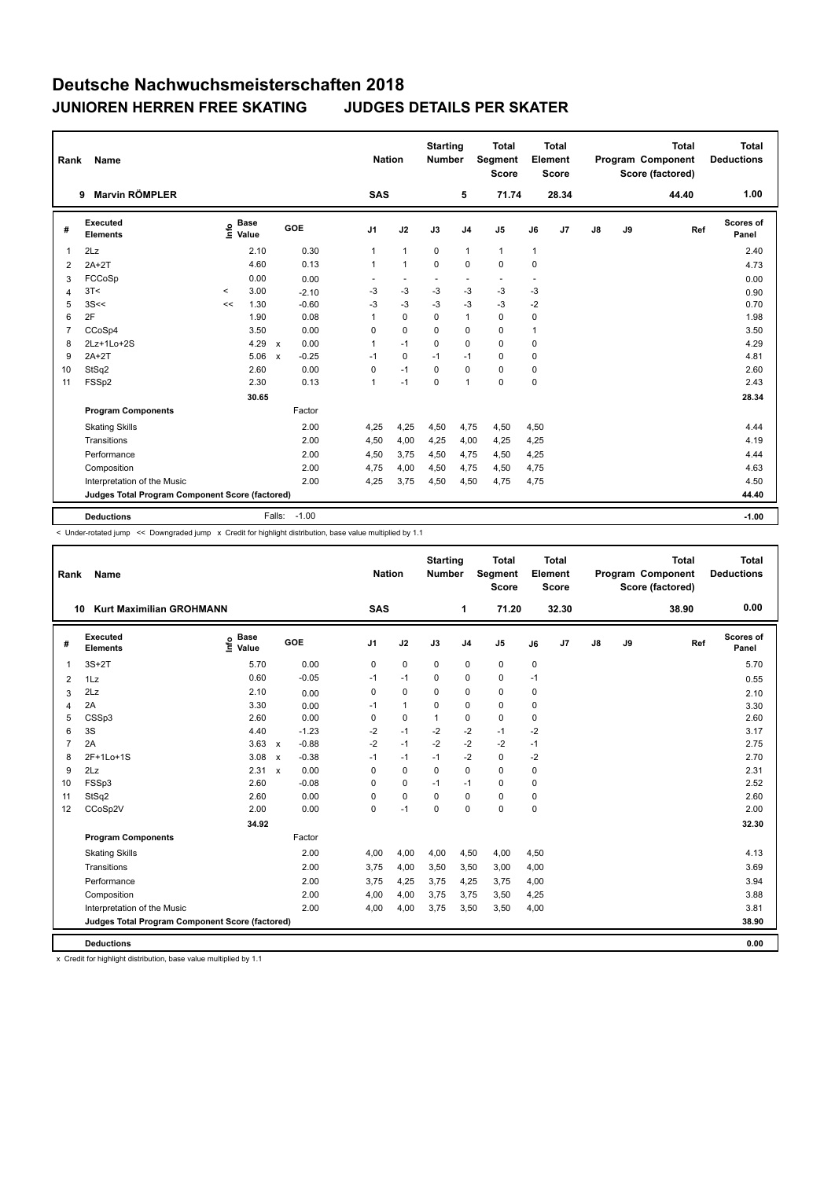| Rank           | Name                                            |                     |                      |              |         |                          | <b>Nation</b> |                          | <b>Starting</b><br><b>Number</b> |                | <b>Total</b><br>Segment<br><b>Score</b> |                          | <b>Total</b><br>Element<br><b>Score</b> |    |    | <b>Total</b><br>Program Component<br>Score (factored) | Total<br><b>Deductions</b> |
|----------------|-------------------------------------------------|---------------------|----------------------|--------------|---------|--------------------------|---------------|--------------------------|----------------------------------|----------------|-----------------------------------------|--------------------------|-----------------------------------------|----|----|-------------------------------------------------------|----------------------------|
|                | <b>Marvin RÖMPLER</b><br>9                      |                     |                      |              |         |                          | <b>SAS</b>    |                          |                                  | 5              | 71.74                                   |                          | 28.34                                   |    |    | 44.40                                                 | 1.00                       |
| #              | Executed<br><b>Elements</b>                     | ١nfo                | <b>Base</b><br>Value |              | GOE     | J <sub>1</sub>           |               | J2                       | J3                               | J <sub>4</sub> | J <sub>5</sub>                          | J6                       | J <sub>7</sub>                          | J8 | J9 | Ref                                                   | Scores of<br>Panel         |
| 1              | 2Lz                                             |                     | 2.10                 |              | 0.30    | 1                        |               | $\mathbf{1}$             | $\mathbf 0$                      | $\mathbf{1}$   | $\mathbf{1}$                            | $\mathbf{1}$             |                                         |    |    |                                                       | 2.40                       |
| $\overline{2}$ | $2A+2T$                                         |                     | 4.60                 |              | 0.13    | 1                        |               | $\mathbf{1}$             | 0                                | 0              | $\mathbf 0$                             | 0                        |                                         |    |    |                                                       | 4.73                       |
| 3              | FCCoSp                                          |                     | 0.00                 |              | 0.00    | $\overline{\phantom{a}}$ |               | $\overline{\phantom{a}}$ | $\blacksquare$                   | $\blacksquare$ | $\overline{\phantom{a}}$                | $\overline{\phantom{a}}$ |                                         |    |    |                                                       | 0.00                       |
| $\overline{4}$ | 3T<                                             | $\hat{\phantom{a}}$ | 3.00                 |              | $-2.10$ | $-3$                     |               | $-3$                     | $-3$                             | $-3$           | $-3$                                    | $-3$                     |                                         |    |    |                                                       | 0.90                       |
| 5              | 3S<<                                            | <<                  | 1.30                 |              | $-0.60$ | $-3$                     |               | $-3$                     | $-3$                             | $-3$           | $-3$                                    | $-2$                     |                                         |    |    |                                                       | 0.70                       |
| 6              | 2F                                              |                     | 1.90                 |              | 0.08    | 1                        |               | $\mathbf 0$              | 0                                | $\mathbf{1}$   | $\mathbf 0$                             | 0                        |                                         |    |    |                                                       | 1.98                       |
| $\overline{7}$ | CCoSp4                                          |                     | 3.50                 |              | 0.00    | 0                        |               | $\mathbf 0$              | 0                                | 0              | $\mathbf 0$                             | 1                        |                                         |    |    |                                                       | 3.50                       |
| 8              | 2Lz+1Lo+2S                                      |                     | 4.29                 | $\mathsf{x}$ | 0.00    | 1                        |               | $-1$                     | $\mathbf 0$                      | $\mathbf 0$    | $\mathbf 0$                             | 0                        |                                         |    |    |                                                       | 4.29                       |
| 9              | $2A+2T$                                         |                     | 5.06                 | $\mathsf{x}$ | $-0.25$ | $-1$                     |               | $\Omega$                 | $-1$                             | $-1$           | $\mathbf 0$                             | 0                        |                                         |    |    |                                                       | 4.81                       |
| 10             | StSq2                                           |                     | 2.60                 |              | 0.00    | 0                        |               | $-1$                     | 0                                | $\mathbf 0$    | $\mathbf 0$                             | 0                        |                                         |    |    |                                                       | 2.60                       |
| 11             | FSSp2                                           |                     | 2.30                 |              | 0.13    | 1                        |               | $-1$                     | 0                                | $\overline{1}$ | $\mathbf 0$                             | 0                        |                                         |    |    |                                                       | 2.43                       |
|                |                                                 |                     | 30.65                |              |         |                          |               |                          |                                  |                |                                         |                          |                                         |    |    |                                                       | 28.34                      |
|                | <b>Program Components</b>                       |                     |                      |              | Factor  |                          |               |                          |                                  |                |                                         |                          |                                         |    |    |                                                       |                            |
|                | <b>Skating Skills</b>                           |                     |                      |              | 2.00    | 4,25                     |               | 4,25                     | 4,50                             | 4,75           | 4,50                                    | 4,50                     |                                         |    |    |                                                       | 4.44                       |
|                | Transitions                                     |                     |                      |              | 2.00    | 4,50                     |               | 4,00                     | 4,25                             | 4,00           | 4,25                                    | 4,25                     |                                         |    |    |                                                       | 4.19                       |
|                | Performance                                     |                     |                      |              | 2.00    | 4,50                     |               | 3,75                     | 4,50                             | 4,75           | 4,50                                    | 4,25                     |                                         |    |    |                                                       | 4.44                       |
|                | Composition                                     |                     |                      |              | 2.00    | 4,75                     |               | 4,00                     | 4,50                             | 4,75           | 4,50                                    | 4,75                     |                                         |    |    |                                                       | 4.63                       |
|                | Interpretation of the Music                     |                     |                      |              | 2.00    | 4,25                     |               | 3,75                     | 4,50                             | 4,50           | 4,75                                    | 4,75                     |                                         |    |    |                                                       | 4.50                       |
|                | Judges Total Program Component Score (factored) |                     |                      |              |         |                          |               |                          |                                  |                |                                         |                          |                                         |    |    |                                                       | 44.40                      |
|                | <b>Deductions</b>                               |                     |                      | Falls:       | $-1.00$ |                          |               |                          |                                  |                |                                         |                          |                                         |    |    |                                                       | $-1.00$                    |

-<br>< Under-rotated jump << Downgraded jump x Credit for highlight distribution, base value multiplied by 1.1

| Rank           | <b>Name</b>                                     |                                  |                                      |                     | <b>Nation</b> |              | <b>Starting</b><br><b>Number</b> |                | <b>Total</b><br>Segment<br><b>Score</b> |      | <b>Total</b><br>Element<br><b>Score</b> |    |    | <b>Total</b><br>Program Component<br>Score (factored) | <b>Total</b><br><b>Deductions</b> |
|----------------|-------------------------------------------------|----------------------------------|--------------------------------------|---------------------|---------------|--------------|----------------------------------|----------------|-----------------------------------------|------|-----------------------------------------|----|----|-------------------------------------------------------|-----------------------------------|
|                | <b>Kurt Maximilian GROHMANN</b><br>10           |                                  |                                      |                     | <b>SAS</b>    |              |                                  | 1              | 71.20                                   |      | 32.30                                   |    |    | 38.90                                                 | 0.00                              |
| #              | Executed<br><b>Elements</b>                     | <b>Base</b><br>e Base<br>⊆ Value | GOE                                  | J <sub>1</sub>      |               | J2           | J3                               | J <sub>4</sub> | J <sub>5</sub>                          | J6   | J7                                      | J8 | J9 | Ref                                                   | <b>Scores of</b><br>Panel         |
| 1              | $3S+2T$                                         | 5.70                             |                                      | 0.00<br>$\mathbf 0$ |               | $\pmb{0}$    | $\mathbf 0$                      | $\pmb{0}$      | $\pmb{0}$                               | 0    |                                         |    |    |                                                       | 5.70                              |
| 2              | 1Lz                                             | 0.60                             | $-0.05$                              | $-1$                |               | $-1$         | 0                                | $\mathbf 0$    | $\mathbf 0$                             | $-1$ |                                         |    |    |                                                       | 0.55                              |
| 3              | 2Lz                                             | 2.10                             |                                      | 0<br>0.00           |               | $\mathbf 0$  | 0                                | $\mathbf 0$    | $\mathbf 0$                             | 0    |                                         |    |    |                                                       | 2.10                              |
| 4              | 2A                                              | 3.30                             |                                      | 0.00<br>$-1$        |               | $\mathbf{1}$ | 0                                | 0              | 0                                       | 0    |                                         |    |    |                                                       | 3.30                              |
| 5              | CSSp3                                           | 2.60                             |                                      | 0.00<br>0           |               | $\mathbf 0$  | 1                                | $\pmb{0}$      | $\mathbf 0$                             | 0    |                                         |    |    |                                                       | 2.60                              |
| 6              | 3S                                              | 4.40                             | $-1.23$                              | $-2$                |               | $-1$         | $-2$                             | $-2$           | $-1$                                    | $-2$ |                                         |    |    |                                                       | 3.17                              |
| $\overline{7}$ | 2A                                              | 3.63                             | $-0.88$<br>$\mathsf{x}$              | $-2$                |               | $-1$         | $-2$                             | $-2$           | $-2$                                    | $-1$ |                                         |    |    |                                                       | 2.75                              |
| 8              | 2F+1Lo+1S                                       | 3.08                             | $-0.38$<br>$\boldsymbol{\mathsf{x}}$ | $-1$                |               | $-1$         | $-1$                             | $-2$           | $\mathbf 0$                             | $-2$ |                                         |    |    |                                                       | 2.70                              |
| 9              | 2Lz                                             | 2.31                             | $\boldsymbol{\mathsf{x}}$            | 0.00<br>0           |               | $\mathbf 0$  | 0                                | $\mathbf 0$    | $\mathbf 0$                             | 0    |                                         |    |    |                                                       | 2.31                              |
| 10             | FSSp3                                           | 2.60                             | $-0.08$                              | 0                   |               | $\pmb{0}$    | $-1$                             | $-1$           | 0                                       | 0    |                                         |    |    |                                                       | 2.52                              |
| 11             | StSq2                                           | 2.60                             |                                      | 0.00<br>0           |               | $\mathbf 0$  | $\Omega$                         | $\mathbf 0$    | $\mathbf 0$                             | 0    |                                         |    |    |                                                       | 2.60                              |
| 12             | CCoSp2V                                         | 2.00                             |                                      | 0.00<br>0           |               | $-1$         | 0                                | $\mathbf 0$    | $\mathbf 0$                             | 0    |                                         |    |    |                                                       | 2.00                              |
|                |                                                 | 34.92                            |                                      |                     |               |              |                                  |                |                                         |      |                                         |    |    |                                                       | 32.30                             |
|                | <b>Program Components</b>                       |                                  | Factor                               |                     |               |              |                                  |                |                                         |      |                                         |    |    |                                                       |                                   |
|                | <b>Skating Skills</b>                           |                                  |                                      | 2.00<br>4.00        |               | 4,00         | 4,00                             | 4,50           | 4,00                                    | 4,50 |                                         |    |    |                                                       | 4.13                              |
|                | Transitions                                     |                                  |                                      | 2.00<br>3,75        |               | 4,00         | 3,50                             | 3,50           | 3,00                                    | 4,00 |                                         |    |    |                                                       | 3.69                              |
|                | Performance                                     |                                  |                                      | 2.00<br>3,75        |               | 4,25         | 3,75                             | 4,25           | 3,75                                    | 4,00 |                                         |    |    |                                                       | 3.94                              |
|                | Composition                                     |                                  |                                      | 2.00<br>4,00        |               | 4,00         | 3,75                             | 3,75           | 3,50                                    | 4,25 |                                         |    |    |                                                       | 3.88                              |
|                | Interpretation of the Music                     |                                  |                                      | 2.00<br>4,00        |               | 4,00         | 3,75                             | 3,50           | 3,50                                    | 4,00 |                                         |    |    |                                                       | 3.81                              |
|                | Judges Total Program Component Score (factored) |                                  |                                      |                     |               |              |                                  |                |                                         |      |                                         |    |    |                                                       | 38.90                             |
|                | <b>Deductions</b>                               |                                  |                                      |                     |               |              |                                  |                |                                         |      |                                         |    |    |                                                       | 0.00                              |

x Credit for highlight distribution, base value multiplied by 1.1